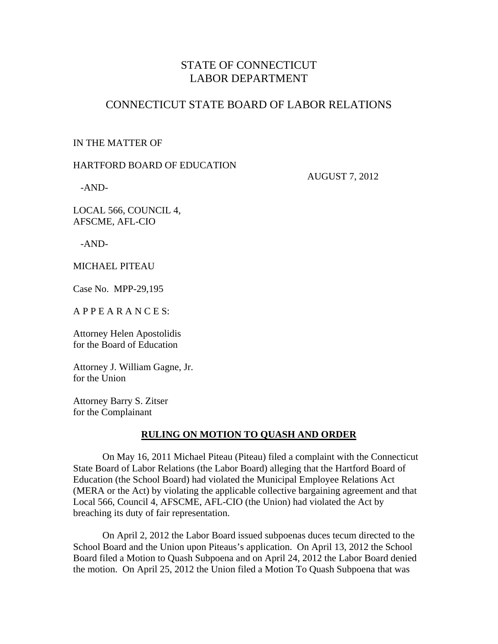# STATE OF CONNECTICUT LABOR DEPARTMENT

## CONNECTICUT STATE BOARD OF LABOR RELATIONS

### IN THE MATTER OF

### HARTFORD BOARD OF EDUCATION

AUGUST 7, 2012

-AND-

LOCAL 566, COUNCIL 4, AFSCME, AFL-CIO

-AND-

MICHAEL PITEAU

Case No. MPP-29,195

A P P E A R A N C E S:

Attorney Helen Apostolidis for the Board of Education

Attorney J. William Gagne, Jr. for the Union

Attorney Barry S. Zitser for the Complainant

### **RULING ON MOTION TO QUASH AND ORDER**

 On May 16, 2011 Michael Piteau (Piteau) filed a complaint with the Connecticut State Board of Labor Relations (the Labor Board) alleging that the Hartford Board of Education (the School Board) had violated the Municipal Employee Relations Act (MERA or the Act) by violating the applicable collective bargaining agreement and that Local 566, Council 4, AFSCME, AFL-CIO (the Union) had violated the Act by breaching its duty of fair representation.

 On April 2, 2012 the Labor Board issued subpoenas duces tecum directed to the School Board and the Union upon Piteaus's application. On April 13, 2012 the School Board filed a Motion to Quash Subpoena and on April 24, 2012 the Labor Board denied the motion. On April 25, 2012 the Union filed a Motion To Quash Subpoena that was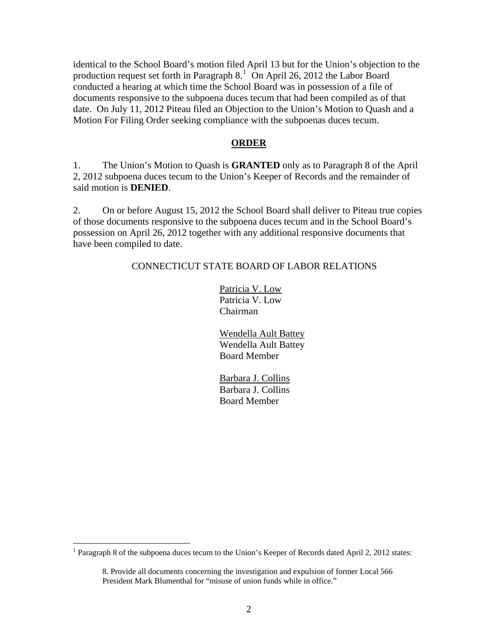identical to the School Board's motion filed April 13 but for the Union's objection to the production request set forth in Paragraph  $8<sup>1</sup>$  $8<sup>1</sup>$  $8<sup>1</sup>$  On April 26, 2012 the Labor Board conducted a hearing at which time the School Board was in possession of a file of documents responsive to the subpoena duces tecum that had been compiled as of that date. On July 11, 2012 Piteau filed an Objection to the Union's Motion to Quash and a Motion For Filing Order seeking compliance with the subpoenas duces tecum.

#### **ORDER**

1. The Union's Motion to Quash is **GRANTED** only as to Paragraph 8 of the April 2, 2012 subpoena duces tecum to the Union's Keeper of Records and the remainder of said motion is **DENIED**.

2. On or before August 15, 2012 the School Board shall deliver to Piteau true copies of those documents responsive to the subpoena duces tecum and in the School Board's possession on April 26, 2012 together with any additional responsive documents that have been compiled to date.

#### CONNECTICUT STATE BOARD OF LABOR RELATIONS

 Patricia V. Low Patricia V. Low Chairman

 Wendella Ault Battey Wendella Ault Battey Board Member

 Barbara J. Collins Barbara J. Collins Board Member

<span id="page-1-0"></span><sup>&</sup>lt;sup>1</sup> Paragraph 8 of the subpoena duces tecum to the Union's Keeper of Records dated April 2, 2012 states:

<sup>8.</sup> Provide all documents concerning the investigation and expulsion of former Local 566 President Mark Blumenthal for "misuse of union funds while in office."